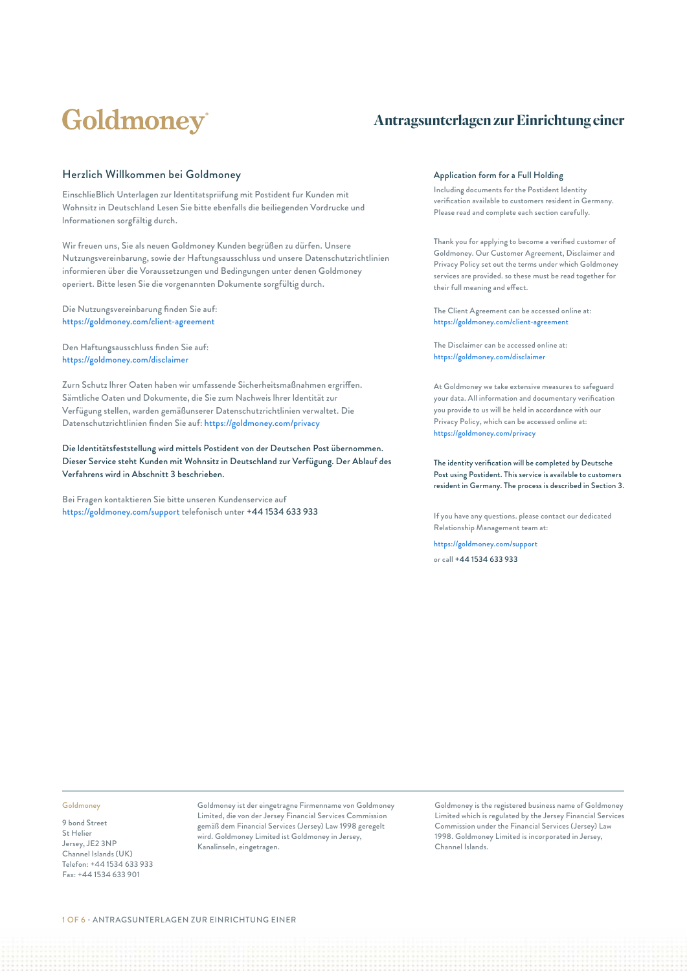# Goldmoney®

### **Antragsunterlagen zur Einrichtung einer**

#### Herzlich Willkommen bei Goldmoney

EinschlieBlich Unterlagen zur ldentitatspriifung mit Postident fur Kunden mit Wohnsitz in Deutschland Lesen Sie bitte ebenfalls die beiliegenden Vordrucke und lnformationen sorgfältig durch.

Wir freuen uns, Sie als neuen Goldmoney Kunden begrüßen zu dürfen. Unsere Nutzungsvereinbarung, sowie der Haftungsausschluss und unsere Datenschutzrichtlinien informieren über die Voraussetzungen und Bedingungen unter denen Goldmoney operiert. Bitte lesen Sie die vorgenannten Dokumente sorgfültig durch.

Die Nutzungsvereinbarung finden Sie auf: https://goldmoney.com/client-agreement

Den Haftungsausschluss finden Sie auf: https://goldmoney.com/disclaimer

Zurn Schutz lhrer Oaten haben wir umfassende Sicherheitsmaßnahmen ergriffen. Sämtliche Oaten und Dokumente, die Sie zum Nachweis lhrer ldentität zur Verfügung stellen, warden gemäßunserer Datenschutzrichtlinien verwaltet. Die Datenschutzrichtlinien finden Sie auf: https://goldmoney.com/privacy

Die ldentitätsfeststellung wird mittels Postident von der Deutschen Post übernommen. Dieser Service steht Kunden mit Wohnsitz in Deutschland zur Verfügung. Der Ablauf des Verfahrens wird in Abschnitt 3 beschrieben.

Bei Fragen kontaktieren Sie bitte unseren Kundenservice auf https://goldmoney.com/support telefonisch unter +44 1534 633 933

#### Application form for a Full Holding

Including documents for the Postident Identity verification available to customers resident in Germany. Please read and complete each section carefully.

Thank you for applying to become a verified customer of Goldmoney. Our Customer Agreement, Disclaimer and Privacy Policy set out the terms under which Goldmoney services are provided. so these must be read together for their full meaning and effect.

The Client Agreement can be accessed online at: https://goldmoney.com/client-agreement

The Disclaimer can be accessed online at: https://goldmoney.com/disclaimer

At Goldmoney we take extensive measures to safeguard your data. All information and documentary verification you provide to us will be held in accordance with our Privacy Policy, which can be accessed online at: https://goldmoney.com/privacy

The identity verification will be completed by Deutsche Post using Postident. This service is available to customers resident in Germany. The process is described in Section 3.

If you have any questions. please contact our dedicated Relationship Management team at:

https://goldmoney.com/support or call +44 1534 633 933

#### Goldmoney

9 bond Street St Helier Jersey, JE2 3NP Channel Islands (UK) Telefon: +44 1534 633 933 Fax: +44 1534 633 901

Goldmoney ist der eingetragne Firmenname von Goldmoney Limited, die von der Jersey Financial Services Commission gemäß dem Financial Services (Jersey) Law 1998 geregelt wird. Goldmoney Limited ist Goldmoney in Jersey, Kanalinseln, eingetragen.

Goldmoney is the registered business name of Goldmoney Limited which is regulated by the Jersey Financial Services Commission under the Financial Services (Jersey) Law 1998. Goldmoney Limited is incorporated in Jersey, Channel Islands.

1 OF 6 • ANTRAGSUNTERLAGEN ZUR EINRICHTUNG EINER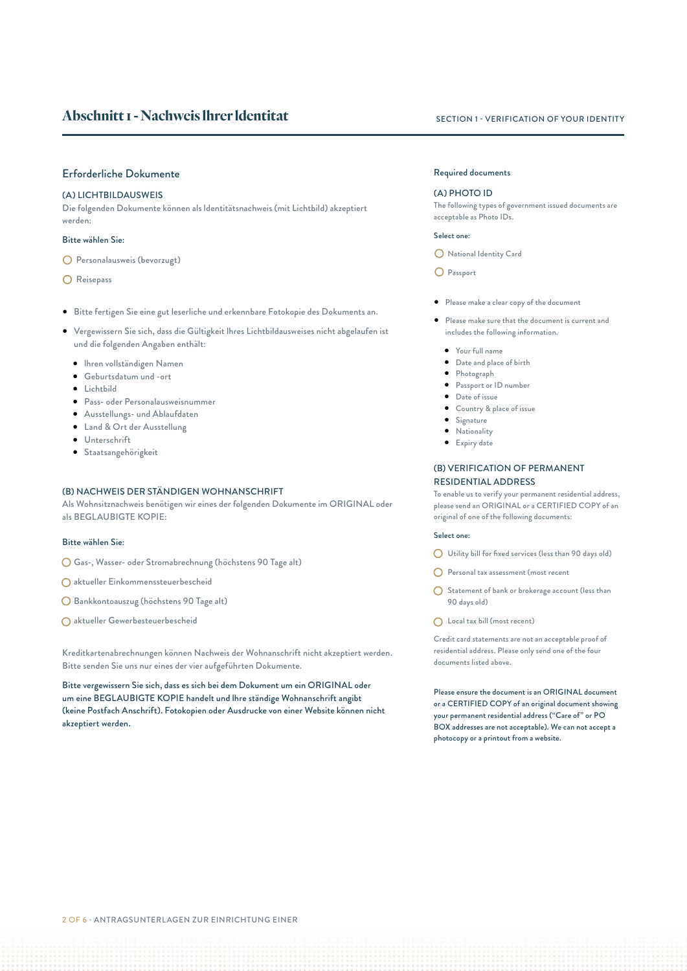#### Erforderliche Dokumente

#### (A) LICHTBILDAUSWEIS

Die folgenden Dokumente können als ldentitätsnachweis (mit Lichtbild) akzeptiert werden:

#### Bitte wählen Sie:

- Personalausweis (bevorzugt)
- O Reisepass
- Bitte fertigen Sie eine gut leserliche und erkennbare Fotokopie des Dokuments an.
- Vergewissern Sie sich, dass die Gültigkeit lhres Lichtbildausweises nicht abgelaufen ist und die folgenden Angaben enthält:
	- lhren vollständigen Namen
	- Geburtsdatum und -ort
	- Lichtbild
	- Pass- oder Personalausweisnummer
	- Ausstellungs- und Ablaufdaten
	- Land & Ort der Ausstellung
	- Unterschrift
	- Staatsangehörigkeit

#### (B) NACHWEIS DER STÄNDIGEN WOHNANSCHRIFT

Als Wohnsitznachweis benötigen wir eines der folgenden Dokumente im ORIGINAL oder als BEGLAUBIGTE KOPIE:

#### Bitte wählen Sie:

- Gas-, Wasser- oder Stromabrechnung (höchstens 90 Tage alt)
- aktueller Einkommenssteuerbescheid
- Bankkontoauszug (höchstens 90 Tage alt)
- aktueller Gewerbesteuerbescheid

Kreditkartenabrechnungen können Nachweis der Wohnanschrift nicht akzeptiert werden. Bitte senden Sie uns nur eines der vier aufgeführten Dokumente.

Bitte vergewissern Sie sich, dass es sich bei dem Dokument um ein ORIGINAL oder um eine BEGLAUBIGTE KOPIE handelt und lhre ständige Wohnanschrift angibt (keine Postfach Anschrift). Fotokopien oder Ausdrucke von einer Website können nicht akzeptiert werden.

#### Required documents

#### (A) PHOTO ID

The following types of government issued documents are acceptable as Photo IDs.

#### Select one:

National Identity Card

O Passport

- Please make a clear copy of the document
- Please make sure that the document is current and includes the following information.
	- Your full name
	- Date and place of birth
	- Photograph
	- Passport or ID number
	- Date of issue
	- Country & place of issue
	- Signature • Nationality
	- Expiry date

#### (B) VERIFICATION OF PERMANENT RESIDENTIAL ADDRESS

To enable us to verify your permanent residential address, please send an ORIGINAL or a CERTIFIED COPY of an original of one of the following documents:

#### Select one:

- Utility bill for fixed services (less than 90 days old)
- Personal tax assessment (most recent
- Statement of bank or brokerage account (less than 90 days old)
- Local tax bill (most recent)

Credit card statements are not an acceptable proof of residential address. Please only send one of the four documents listed above.

Please ensure the document is an ORIGINAL document or a CERTIFIED COPY of an original document showing your permanent residential address ("Care of" or PO BOX addresses are not acceptable). We can not accept a photocopy or a printout from a website.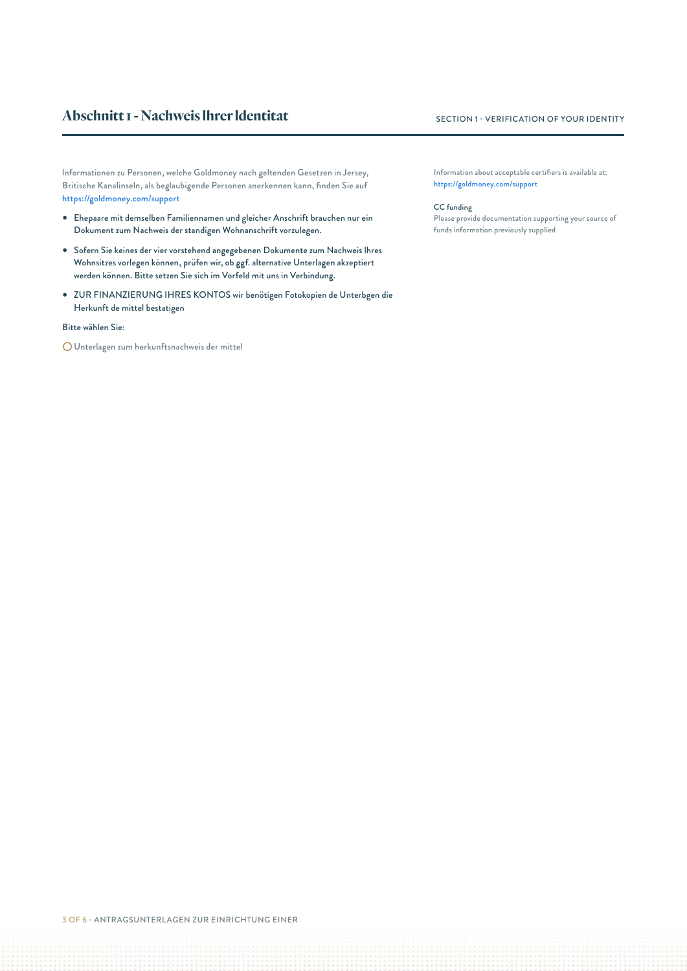### **Abschnitt I - Nachweis Ihrer Identitat** SECTION 1 - VERIFICATION OF YOUR IDENTITY

lnformationen zu Personen, welche Goldmoney nach geltenden Gesetzen in Jersey, Britische Kanalinseln, als beglaubigende Personen anerkennen kann, finden Sie auf https://goldmoney.com/support

- Ehepaare mit demselben Familiennamen und gleicher Anschrift brauchen nur ein Dokument zum Nachweis der standigen Wohnanschrift vorzulegen.
- Sofern Sie keines der vier vorstehend angegebenen Dokumente zum Nachweis lhres Wohnsitzes vorlegen können, prüfen wir, ob ggf. alternative Unterlagen akzeptiert werden können. Bitte setzen Sie sich im Vorfeld mit uns in Verbindung.
- ZUR FINANZIERUNG IHRES KONTOS wir benötigen Fotokopien de Unterbgen die Herkunft de mittel bestatigen

#### Bitte wählen Sie:

Unterlagen zum herkunftsnachweis der mittel

Information about acceptable certifiers is available at: https://goldmoney.com/support

#### CC funding

Please provide documentation supporting your source of funds information previously supplied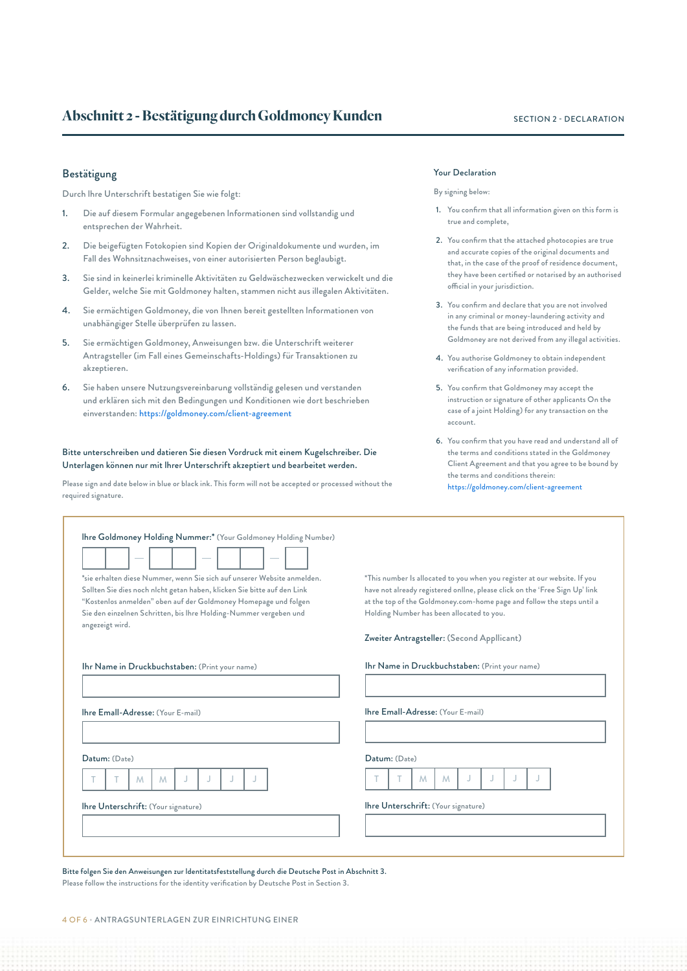#### **Abschnitt 2 - Bestätigung durch Goldmoney Kunden** SECTION 2 - DECLARATION

#### Bestätigung

Durch lhre Unterschrift bestatigen Sie wie folgt:

- 1. Die auf diesem Formular angegebenen lnformationen sind vollstandig und entsprechen der Wahrheit.
- 2. Die beigefügten Fotokopien sind Kopien der Originaldokumente und wurden, im Fall des Wohnsitznachweises, von einer autorisierten Person beglaubigt.
- 3. Sie sind in keinerlei kriminelle Aktivitäten zu Geldwäschezwecken verwickelt und die Gelder, welche Sie mit Goldmoney halten, stammen nicht aus illegalen Aktivitäten.
- 4. Sie ermächtigen Goldmoney, die von Ihnen bereit gestellten lnformationen von unabhängiger Stelle überprüfen zu lassen.
- 5. Sie ermächtigen Goldmoney, Anweisungen bzw. die Unterschrift weiterer Antragsteller (im Fall eines Gemeinschafts-Holdings) für Transaktionen zu akzeptieren.
- 6. Sie haben unsere Nutzungsvereinbarung vollständig gelesen und verstanden und erklären sich mit den Bedingungen und Konditionen wie dort beschrieben einverstanden: https://goldmoney.com/client-agreement

#### Bitte unterschreiben und datieren Sie diesen Vordruck mit einem Kugelschreiber. Die Unterlagen können nur mit lhrer Unterschrift akzeptiert und bearbeitet werden.

Please sign and date below in blue or black ink. This form will not be accepted or processed without the required signature.

#### Your Declaration

#### By signing below:

- 1. You confirm that all information given on this form is true and complete,
- 2. You confirm that the attached photocopies are true and accurate copies of the original documents and that, in the case of the proof of residence document, they have been certified or notarised by an authorised official in your jurisdiction.
- 3. You confirm and declare that you are not involved in any criminal or money-laundering activity and the funds that are being introduced and held by Goldmoney are not derived from any illegal activities.
- 4. You authorise Goldmoney to obtain independent verification of any information provided.
- 5. You confirm that Goldmoney may accept the instruction or signature of other applicants On the case of a joint Holding) for any transaction on the account.
- 6. You confirm that you have read and understand all of the terms and conditions stated in the Goldmoney Client Agreement and that you agree to be bound by the terms and conditions therein: https://goldmoney.com/client-agreement

| Ihre Goldmoney Holding Nummer:* (Your Goldmoney Holding Number)                                                                                                                                                                                                                                               |                                                                                                                                                                                                                                                                                 |
|---------------------------------------------------------------------------------------------------------------------------------------------------------------------------------------------------------------------------------------------------------------------------------------------------------------|---------------------------------------------------------------------------------------------------------------------------------------------------------------------------------------------------------------------------------------------------------------------------------|
| *sie erhalten diese Nummer, wenn Sie sich auf unserer Website anmelden.<br>Sollten Sie dies noch nlcht getan haben, klicken Sie bitte auf den Link<br>"Kostenlos anmelden" oben auf der Goldmoney Homepage und folgen<br>Sie den einzelnen Schritten, bis Ihre Holding-Nummer vergeben und<br>angezeigt wird. | *This number Is allocated to you when you register at our website. If you<br>have not already registered online, please click on the 'Free Sign Up' link<br>at the top of the Goldmoney.com-home page and follow the steps until a<br>Holding Number has been allocated to you. |
|                                                                                                                                                                                                                                                                                                               | Zweiter Antragsteller: (Second Appllicant)                                                                                                                                                                                                                                      |
| Ihr Name in Druckbuchstaben: (Print your name)                                                                                                                                                                                                                                                                | Ihr Name in Druckbuchstaben: (Print your name)                                                                                                                                                                                                                                  |
| Ihre Emall-Adresse: (Your E-mail)                                                                                                                                                                                                                                                                             | Ihre Emall-Adresse: (Your E-mail)                                                                                                                                                                                                                                               |
| Datum: (Date)                                                                                                                                                                                                                                                                                                 | Datum: (Date)                                                                                                                                                                                                                                                                   |
| M<br>J<br>M                                                                                                                                                                                                                                                                                                   | M<br>M                                                                                                                                                                                                                                                                          |
| Ihre Unterschrift: (Your signature)                                                                                                                                                                                                                                                                           | Ihre Unterschrift: (Your signature)                                                                                                                                                                                                                                             |
|                                                                                                                                                                                                                                                                                                               |                                                                                                                                                                                                                                                                                 |
|                                                                                                                                                                                                                                                                                                               |                                                                                                                                                                                                                                                                                 |

Bitte folgen Sie den Anweisungen zur ldentitatsfeststellung durch die Deutsche Post in Abschnitt 3. Please follow the instructions for the identity verification by Deutsche Post in Section 3.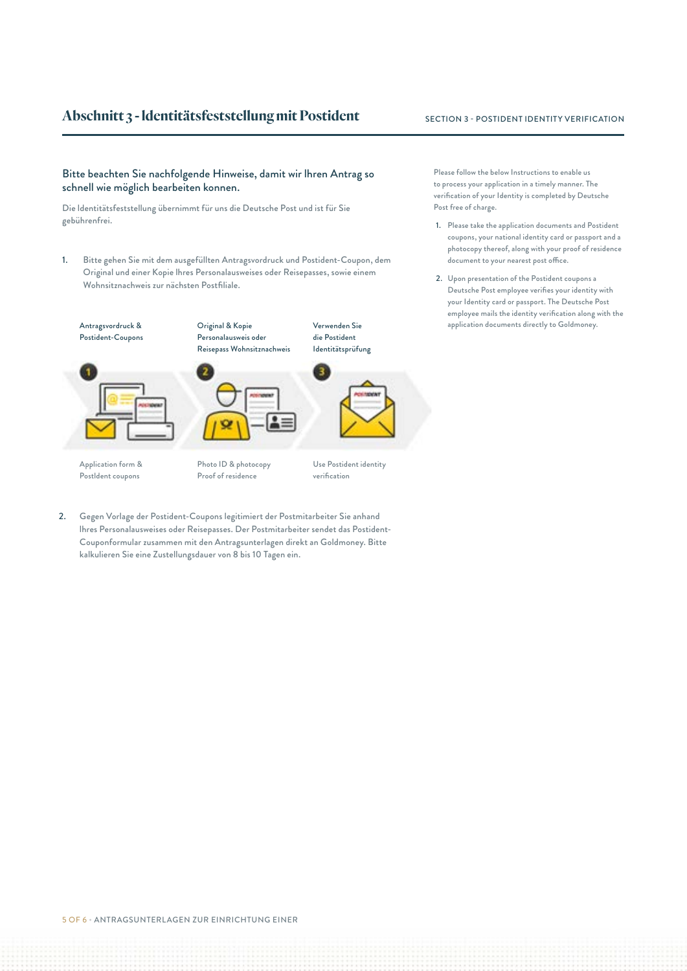### **Abschnitt 3 - Identitätsfeststellung mit Postident** SECTION 3 - POSTIDENT IDENTITY VERIFICATION

#### Bitte beachten Sie nachfolgende Hinweise, damit wir lhren Antrag so schnell wie möglich bearbeiten konnen.

Die ldentitätsfeststellung übernimmt für uns die Deutsche Post und ist für Sie gebührenfrei.

1. Bitte gehen Sie mit dem ausgefüllten Antragsvordruck und Postident-Coupon, dem Original und einer Kopie lhres Personalausweises oder Reisepasses, sowie einem Wohnsitznachweis zur nächsten Postfiliale.

Original & Kopie

Postident-Coupons





Application form & Postldent coupons

Photo ID & photocopy Proof of residence

Personalausweis oder Reisepass Wohnsitznachweis die Postident Identitätsprüfung



Verwenden Sie

Use Postident identity verification

2. Gegen Vorlage der Postident-Coupons legitimiert der Postmitarbeiter Sie anhand lhres Personalausweises oder Reisepasses. Der Postmitarbeiter sendet das Postident-Couponformular zusammen mit den Antragsunterlagen direkt an Goldmoney. Bitte kalkulieren Sie eine Zustellungsdauer von 8 bis 10 Tagen ein.

Please follow the below Instructions to enable us to process your application in a timely manner. The verification of your Identity is completed by Deutsche Post free of charge.

- 1. Please take the application documents and Postident coupons, your national identity card or passport and a photocopy thereof, along with your proof of residence document to your nearest post office.
- 2. Upon presentation of the Postident coupons a Deutsche Post employee verifies your identity with your Identity card or passport. The Deutsche Post employee mails the identity verification along with the Antragsvordruck & **acknowledge Configinal & Kopie Configion Configion Configion** application documents directly to Goldmoney.